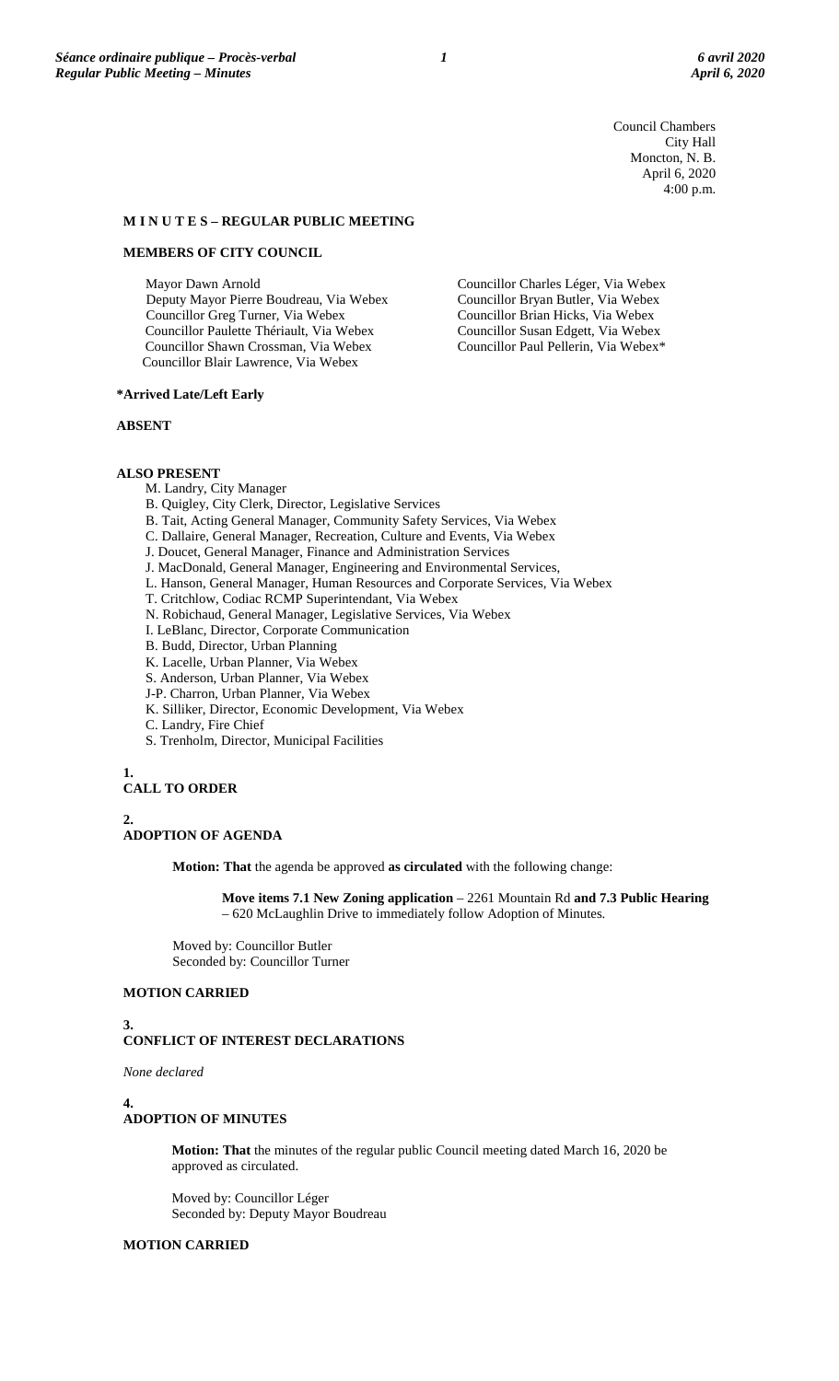Council Chambers City Hall Moncton, N. B. April 6, 2020 4:00 p.m.

Councillor Charles Léger, Via Webex Councillor Bryan Butler, Via Webex Councillor Brian Hicks, Via Webex Councillor Susan Edgett, Via Webex Councillor Paul Pellerin, Via Webex\*

# **M I N U T E S – REGULAR PUBLIC MEETING**

# **MEMBERS OF CITY COUNCIL**

Mayor Dawn Arnold

Deputy Mayor Pierre Boudreau, Via Webex Councillor Greg Turner, Via Webex Councillor Paulette Thériault, Via Webex Councillor Shawn Crossman, Via Webex Councillor Blair Lawrence, Via Webex

#### **\*Arrived Late/Left Early**

#### **ABSENT**

**ALSO PRESENT**

- M. Landry, City Manager
- B. Quigley, City Clerk, Director, Legislative Services
- B. Tait, Acting General Manager, Community Safety Services, Via Webex
- C. Dallaire, General Manager, Recreation, Culture and Events, Via Webex
- J. Doucet, General Manager, Finance and Administration Services
- J. MacDonald, General Manager, Engineering and Environmental Services,
- L. Hanson, General Manager, Human Resources and Corporate Services, Via Webex
- T. Critchlow, Codiac RCMP Superintendant, Via Webex
- N. Robichaud, General Manager, Legislative Services, Via Webex
- I. LeBlanc, Director, Corporate Communication
- B. Budd, Director, Urban Planning
- K. Lacelle, Urban Planner, Via Webex
- S. Anderson, Urban Planner, Via Webex
- J-P. Charron, Urban Planner, Via Webex
- K. Silliker, Director, Economic Development, Via Webex
- C. Landry, Fire Chief
- S. Trenholm, Director, Municipal Facilities

#### **1.**

# **CALL TO ORDER**

**2. ADOPTION OF AGENDA**

**Motion: That** the agenda be approved **as circulated** with the following change:

**Move items 7.1 New Zoning application** – 2261 Mountain Rd **and 7.3 Public Hearing** – 620 McLaughlin Drive to immediately follow Adoption of Minutes.

Moved by: Councillor Butler Seconded by: Councillor Turner

# **MOTION CARRIED**

#### **3.**

#### **CONFLICT OF INTEREST DECLARATIONS**

*None declared*

#### **4.**

# **ADOPTION OF MINUTES**

**Motion: That** the minutes of the regular public Council meeting dated March 16, 2020 be approved as circulated.

Moved by: Councillor Léger Seconded by: Deputy Mayor Boudreau

# **MOTION CARRIED**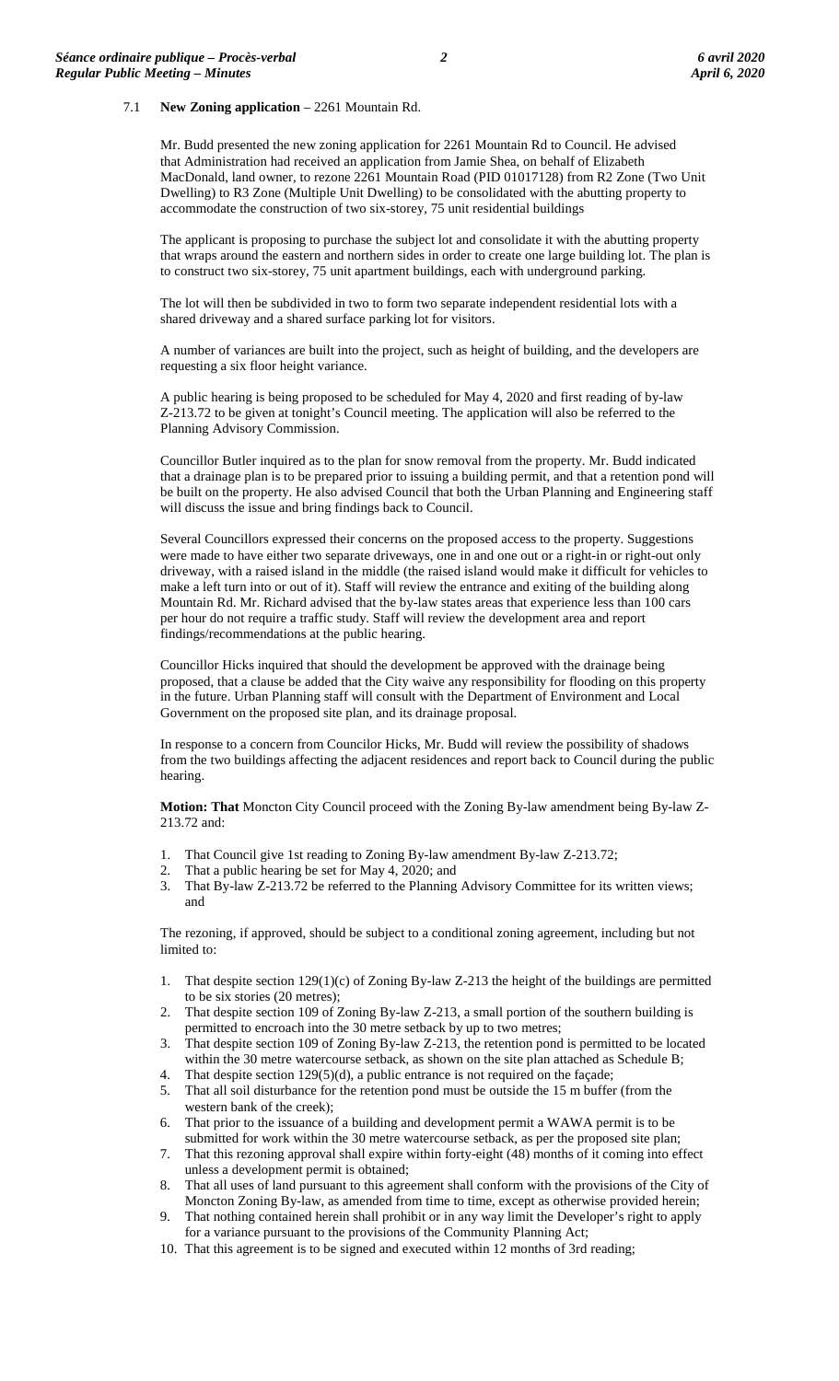#### 7.1 **New Zoning application** – 2261 Mountain Rd.

Mr. Budd presented the new zoning application for 2261 Mountain Rd to Council. He advised that Administration had received an application from Jamie Shea, on behalf of Elizabeth MacDonald, land owner, to rezone 2261 Mountain Road (PID 01017128) from R2 Zone (Two Unit Dwelling) to R3 Zone (Multiple Unit Dwelling) to be consolidated with the abutting property to accommodate the construction of two six-storey, 75 unit residential buildings

The applicant is proposing to purchase the subject lot and consolidate it with the abutting property that wraps around the eastern and northern sides in order to create one large building lot. The plan is to construct two six-storey, 75 unit apartment buildings, each with underground parking.

The lot will then be subdivided in two to form two separate independent residential lots with a shared driveway and a shared surface parking lot for visitors.

A number of variances are built into the project, such as height of building, and the developers are requesting a six floor height variance.

A public hearing is being proposed to be scheduled for May 4, 2020 and first reading of by-law Z-213.72 to be given at tonight's Council meeting. The application will also be referred to the Planning Advisory Commission.

Councillor Butler inquired as to the plan for snow removal from the property. Mr. Budd indicated that a drainage plan is to be prepared prior to issuing a building permit, and that a retention pond will be built on the property. He also advised Council that both the Urban Planning and Engineering staff will discuss the issue and bring findings back to Council.

Several Councillors expressed their concerns on the proposed access to the property. Suggestions were made to have either two separate driveways, one in and one out or a right-in or right-out only driveway, with a raised island in the middle (the raised island would make it difficult for vehicles to make a left turn into or out of it). Staff will review the entrance and exiting of the building along Mountain Rd. Mr. Richard advised that the by-law states areas that experience less than 100 cars per hour do not require a traffic study. Staff will review the development area and report findings/recommendations at the public hearing.

Councillor Hicks inquired that should the development be approved with the drainage being proposed, that a clause be added that the City waive any responsibility for flooding on this property in the future. Urban Planning staff will consult with the Department of Environment and Local Government on the proposed site plan, and its drainage proposal.

In response to a concern from Councilor Hicks, Mr. Budd will review the possibility of shadows from the two buildings affecting the adjacent residences and report back to Council during the public hearing.

**Motion: That** Moncton City Council proceed with the Zoning By-law amendment being By-law Z-213.72 and:

- 1. That Council give 1st reading to Zoning By-law amendment By-law Z-213.72;
- 2. That a public hearing be set for May 4, 2020; and
- 3. That By-law Z-213.72 be referred to the Planning Advisory Committee for its written views; and

The rezoning, if approved, should be subject to a conditional zoning agreement, including but not limited to:

- 1. That despite section 129(1)(c) of Zoning By-law Z-213 the height of the buildings are permitted to be six stories (20 metres);
- 2. That despite section 109 of Zoning By-law Z-213, a small portion of the southern building is permitted to encroach into the 30 metre setback by up to two metres;
- 3. That despite section 109 of Zoning By-law Z-213, the retention pond is permitted to be located within the 30 metre watercourse setback, as shown on the site plan attached as Schedule B;
- 4. That despite section 129(5)(d), a public entrance is not required on the façade;
- 5. That all soil disturbance for the retention pond must be outside the 15 m buffer (from the western bank of the creek);
- 6. That prior to the issuance of a building and development permit a WAWA permit is to be submitted for work within the 30 metre watercourse setback, as per the proposed site plan;
- 7. That this rezoning approval shall expire within forty-eight (48) months of it coming into effect unless a development permit is obtained;
- 8. That all uses of land pursuant to this agreement shall conform with the provisions of the City of Moncton Zoning By-law, as amended from time to time, except as otherwise provided herein;
- 9. That nothing contained herein shall prohibit or in any way limit the Developer's right to apply for a variance pursuant to the provisions of the Community Planning Act;
- 10. That this agreement is to be signed and executed within 12 months of 3rd reading;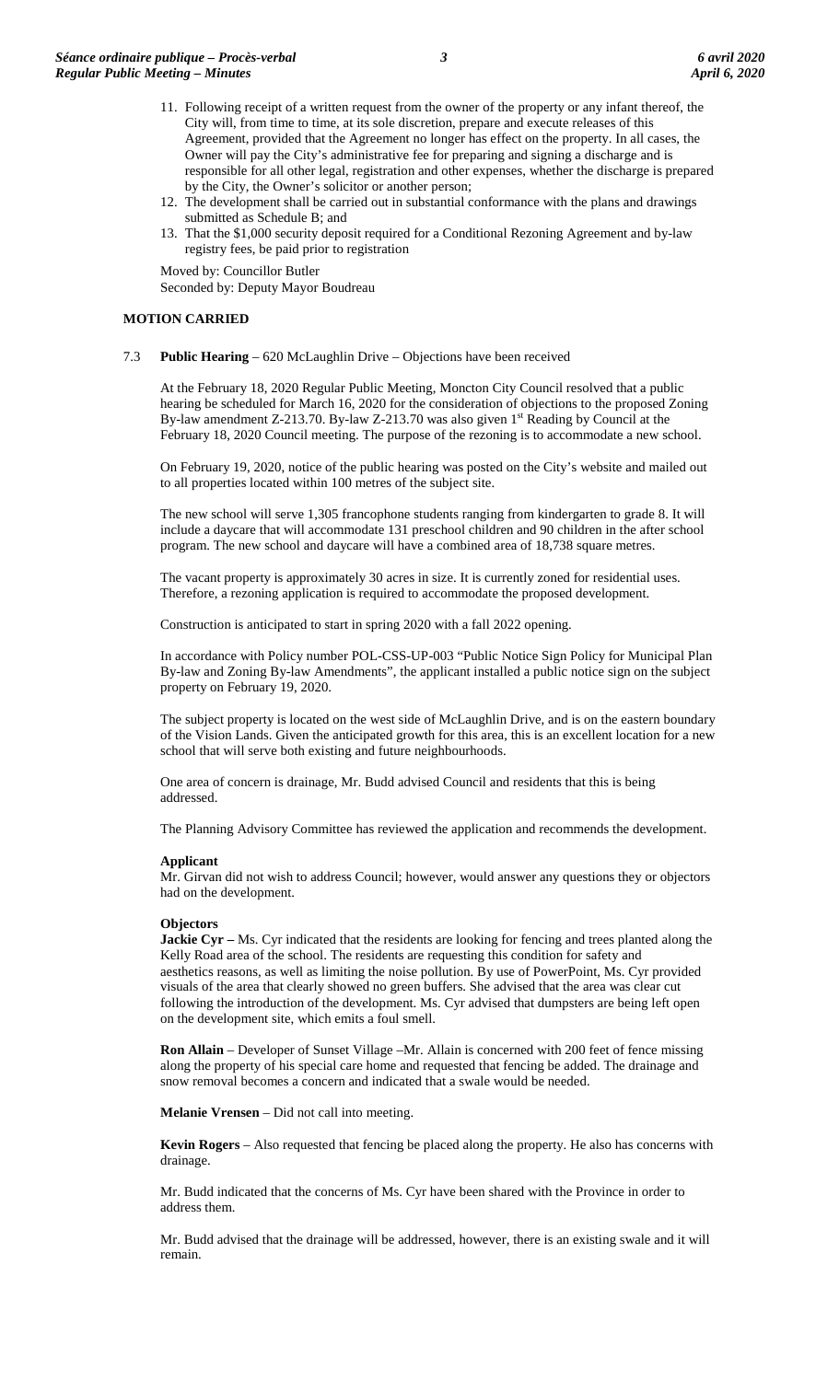- 11. Following receipt of a written request from the owner of the property or any infant thereof, the City will, from time to time, at its sole discretion, prepare and execute releases of this Agreement, provided that the Agreement no longer has effect on the property. In all cases, the Owner will pay the City's administrative fee for preparing and signing a discharge and is responsible for all other legal, registration and other expenses, whether the discharge is prepared by the City, the Owner's solicitor or another person;
- 12. The development shall be carried out in substantial conformance with the plans and drawings submitted as Schedule B; and
- 13. That the \$1,000 security deposit required for a Conditional Rezoning Agreement and by-law registry fees, be paid prior to registration

Moved by: Councillor Butler Seconded by: Deputy Mayor Boudreau

# **MOTION CARRIED**

# 7.3 **Public Hearing** – 620 McLaughlin Drive – Objections have been received

At the February 18, 2020 Regular Public Meeting, Moncton City Council resolved that a public hearing be scheduled for March 16, 2020 for the consideration of objections to the proposed Zoning By-law amendment Z-213.70. By-law Z-213.70 was also given  $1<sup>st</sup>$  Reading by Council at the February 18, 2020 Council meeting. The purpose of the rezoning is to accommodate a new school.

On February 19, 2020, notice of the public hearing was posted on the City's website and mailed out to all properties located within 100 metres of the subject site.

The new school will serve 1,305 francophone students ranging from kindergarten to grade 8. It will include a daycare that will accommodate 131 preschool children and 90 children in the after school program. The new school and daycare will have a combined area of 18,738 square metres.

The vacant property is approximately 30 acres in size. It is currently zoned for residential uses. Therefore, a rezoning application is required to accommodate the proposed development.

Construction is anticipated to start in spring 2020 with a fall 2022 opening.

In accordance with Policy number POL-CSS-UP-003 "Public Notice Sign Policy for Municipal Plan By-law and Zoning By-law Amendments", the applicant installed a public notice sign on the subject property on February 19, 2020.

The subject property is located on the west side of McLaughlin Drive, and is on the eastern boundary of the Vision Lands. Given the anticipated growth for this area, this is an excellent location for a new school that will serve both existing and future neighbourhoods.

One area of concern is drainage, Mr. Budd advised Council and residents that this is being addressed.

The Planning Advisory Committee has reviewed the application and recommends the development.

#### **Applicant**

Mr. Girvan did not wish to address Council; however, would answer any questions they or objectors had on the development.

#### **Objectors**

**Jackie Cyr –** Ms. Cyr indicated that the residents are looking for fencing and trees planted along the Kelly Road area of the school. The residents are requesting this condition for safety and aesthetics reasons, as well as limiting the noise pollution. By use of PowerPoint, Ms. Cyr provided visuals of the area that clearly showed no green buffers. She advised that the area was clear cut following the introduction of the development. Ms. Cyr advised that dumpsters are being left open on the development site, which emits a foul smell.

**Ron Allain** – Developer of Sunset Village –Mr. Allain is concerned with 200 feet of fence missing along the property of his special care home and requested that fencing be added. The drainage and snow removal becomes a concern and indicated that a swale would be needed.

**Melanie Vrensen** – Did not call into meeting.

**Kevin Rogers** – Also requested that fencing be placed along the property. He also has concerns with drainage.

Mr. Budd indicated that the concerns of Ms. Cyr have been shared with the Province in order to address them.

Mr. Budd advised that the drainage will be addressed, however, there is an existing swale and it will remain.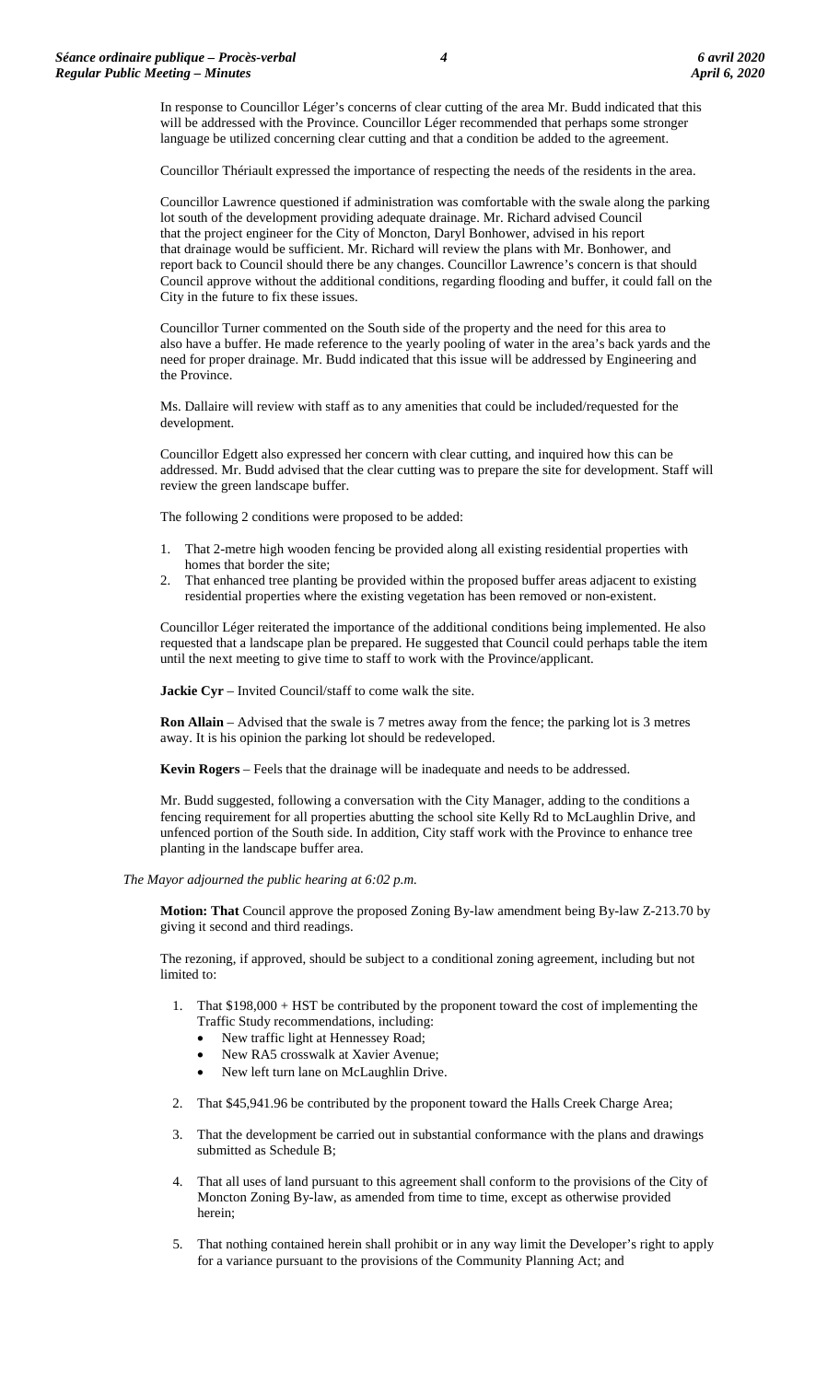In response to Councillor Léger's concerns of clear cutting of the area Mr. Budd indicated that this will be addressed with the Province. Councillor Léger recommended that perhaps some stronger language be utilized concerning clear cutting and that a condition be added to the agreement.

Councillor Thériault expressed the importance of respecting the needs of the residents in the area.

Councillor Lawrence questioned if administration was comfortable with the swale along the parking lot south of the development providing adequate drainage. Mr. Richard advised Council that the project engineer for the City of Moncton, Daryl Bonhower, advised in his report that drainage would be sufficient. Mr. Richard will review the plans with Mr. Bonhower, and report back to Council should there be any changes. Councillor Lawrence's concern is that should Council approve without the additional conditions, regarding flooding and buffer, it could fall on the City in the future to fix these issues.

Councillor Turner commented on the South side of the property and the need for this area to also have a buffer. He made reference to the yearly pooling of water in the area's back yards and the need for proper drainage. Mr. Budd indicated that this issue will be addressed by Engineering and the Province.

Ms. Dallaire will review with staff as to any amenities that could be included/requested for the development.

Councillor Edgett also expressed her concern with clear cutting, and inquired how this can be addressed. Mr. Budd advised that the clear cutting was to prepare the site for development. Staff will review the green landscape buffer.

The following 2 conditions were proposed to be added:

- 1. That 2-metre high wooden fencing be provided along all existing residential properties with homes that border the site;
- 2. That enhanced tree planting be provided within the proposed buffer areas adjacent to existing residential properties where the existing vegetation has been removed or non-existent.

Councillor Léger reiterated the importance of the additional conditions being implemented. He also requested that a landscape plan be prepared. He suggested that Council could perhaps table the item until the next meeting to give time to staff to work with the Province/applicant.

**Jackie Cyr** – Invited Council/staff to come walk the site.

**Ron Allain** – Advised that the swale is 7 metres away from the fence; the parking lot is 3 metres away. It is his opinion the parking lot should be redeveloped.

**Kevin Rogers** – Feels that the drainage will be inadequate and needs to be addressed.

Mr. Budd suggested, following a conversation with the City Manager, adding to the conditions a fencing requirement for all properties abutting the school site Kelly Rd to McLaughlin Drive, and unfenced portion of the South side. In addition, City staff work with the Province to enhance tree planting in the landscape buffer area.

#### *The Mayor adjourned the public hearing at 6:02 p.m.*

**Motion: That** Council approve the proposed Zoning By-law amendment being By-law Z-213.70 by giving it second and third readings.

The rezoning, if approved, should be subject to a conditional zoning agreement, including but not limited to:

- 1. That \$198,000 + HST be contributed by the proponent toward the cost of implementing the Traffic Study recommendations, including:
	- New traffic light at Hennessey Road;
	- New RA5 crosswalk at Xavier Avenue;
	- New left turn lane on McLaughlin Drive.
- 2. That \$45,941.96 be contributed by the proponent toward the Halls Creek Charge Area;
- 3. That the development be carried out in substantial conformance with the plans and drawings submitted as Schedule B;
- 4. That all uses of land pursuant to this agreement shall conform to the provisions of the City of Moncton Zoning By-law, as amended from time to time, except as otherwise provided herein;
- 5. That nothing contained herein shall prohibit or in any way limit the Developer's right to apply for a variance pursuant to the provisions of the Community Planning Act; and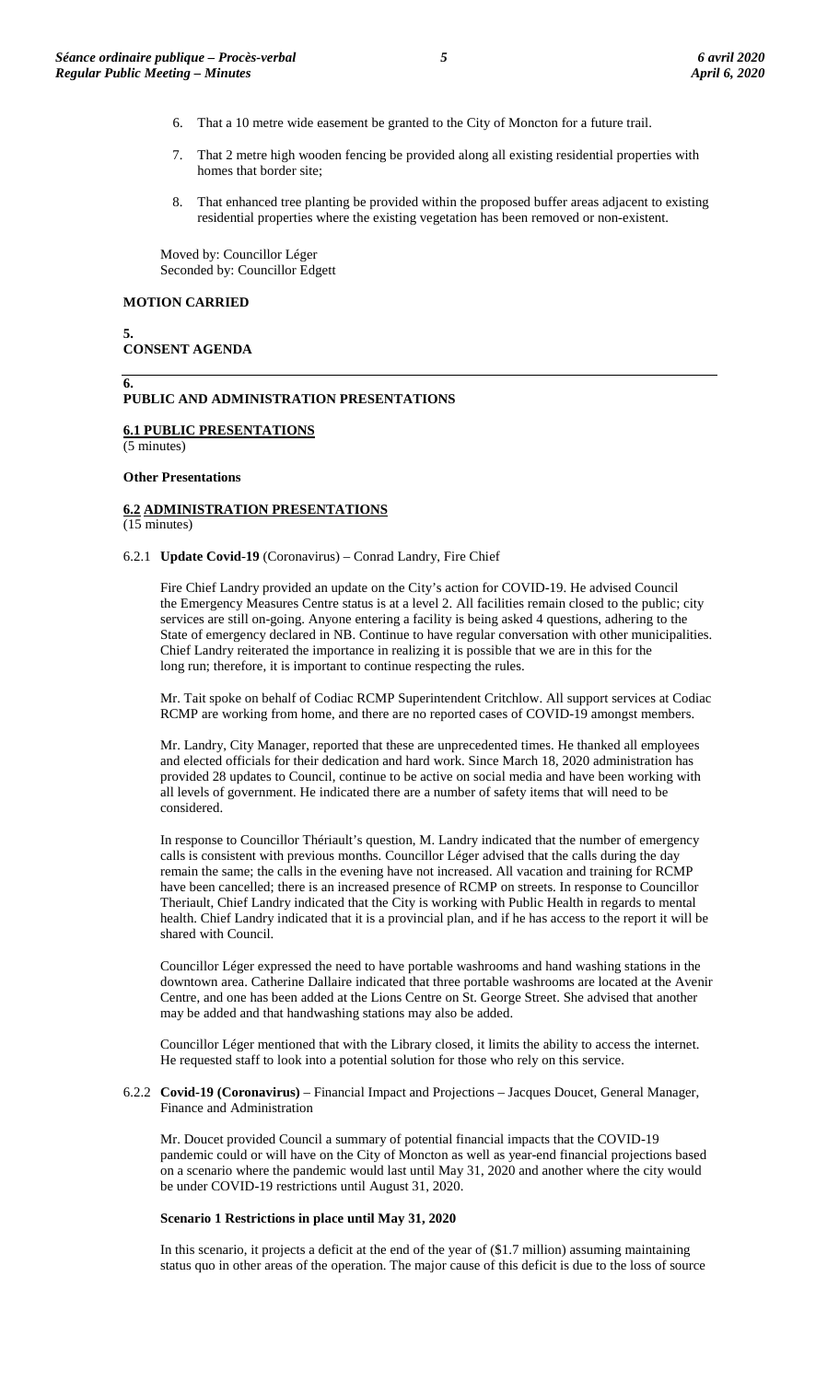- 6. That a 10 metre wide easement be granted to the City of Moncton for a future trail.
- 7. That 2 metre high wooden fencing be provided along all existing residential properties with homes that border site;
- 8. That enhanced tree planting be provided within the proposed buffer areas adjacent to existing residential properties where the existing vegetation has been removed or non-existent.

Moved by: Councillor Léger Seconded by: Councillor Edgett

#### **MOTION CARRIED**

**5. CONSENT AGENDA**

#### **6. PUBLIC AND ADMINISTRATION PRESENTATIONS**

#### **6.1 PUBLIC PRESENTATIONS**

(5 minutes)

#### **Other Presentations**

# **6.2 ADMINISTRATION PRESENTATIONS**

(15 minutes)

# 6.2.1 **Update Covid**-**19** (Coronavirus) – Conrad Landry, Fire Chief

Fire Chief Landry provided an update on the City's action for COVID-19. He advised Council the Emergency Measures Centre status is at a level 2. All facilities remain closed to the public; city services are still on-going. Anyone entering a facility is being asked 4 questions, adhering to the State of emergency declared in NB. Continue to have regular conversation with other municipalities. Chief Landry reiterated the importance in realizing it is possible that we are in this for the long run; therefore, it is important to continue respecting the rules.

Mr. Tait spoke on behalf of Codiac RCMP Superintendent Critchlow. All support services at Codiac RCMP are working from home, and there are no reported cases of COVID-19 amongst members.

Mr. Landry, City Manager, reported that these are unprecedented times. He thanked all employees and elected officials for their dedication and hard work. Since March 18, 2020 administration has provided 28 updates to Council, continue to be active on social media and have been working with all levels of government. He indicated there are a number of safety items that will need to be considered.

In response to Councillor Thériault's question, M. Landry indicated that the number of emergency calls is consistent with previous months. Councillor Léger advised that the calls during the day remain the same; the calls in the evening have not increased. All vacation and training for RCMP have been cancelled; there is an increased presence of RCMP on streets. In response to Councillor Theriault, Chief Landry indicated that the City is working with Public Health in regards to mental health. Chief Landry indicated that it is a provincial plan, and if he has access to the report it will be shared with Council.

Councillor Léger expressed the need to have portable washrooms and hand washing stations in the downtown area. Catherine Dallaire indicated that three portable washrooms are located at the Avenir Centre, and one has been added at the Lions Centre on St. George Street. She advised that another may be added and that handwashing stations may also be added.

Councillor Léger mentioned that with the Library closed, it limits the ability to access the internet. He requested staff to look into a potential solution for those who rely on this service.

6.2.2 **Covid-19 (Coronavirus)** – Financial Impact and Projections – Jacques Doucet, General Manager, Finance and Administration

Mr. Doucet provided Council a summary of potential financial impacts that the COVID-19 pandemic could or will have on the City of Moncton as well as year-end financial projections based on a scenario where the pandemic would last until May 31, 2020 and another where the city would be under COVID-19 restrictions until August 31, 2020.

#### **Scenario 1 Restrictions in place until May 31, 2020**

In this scenario, it projects a deficit at the end of the year of (\$1.7 million) assuming maintaining status quo in other areas of the operation. The major cause of this deficit is due to the loss of source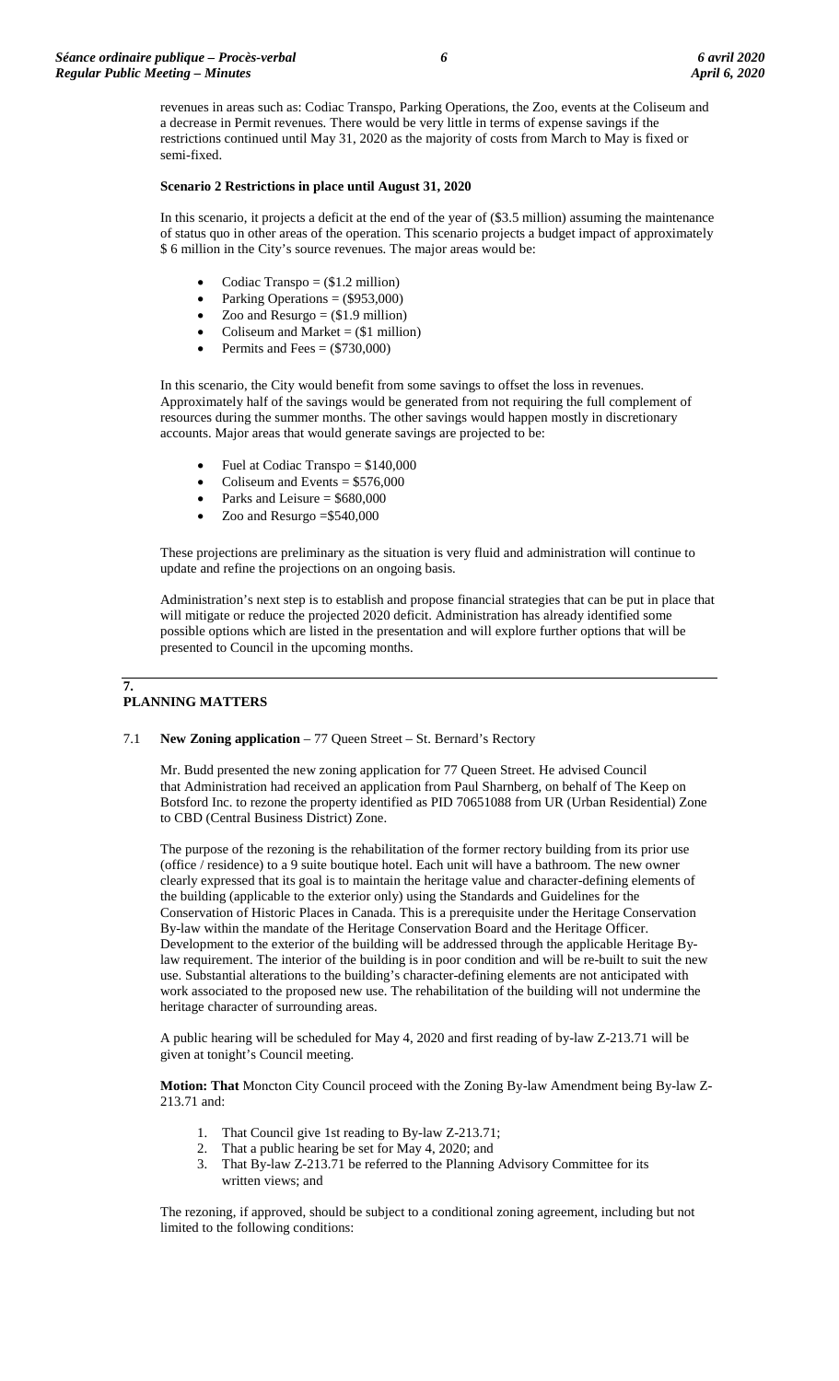revenues in areas such as: Codiac Transpo, Parking Operations, the Zoo, events at the Coliseum and a decrease in Permit revenues. There would be very little in terms of expense savings if the restrictions continued until May 31, 2020 as the majority of costs from March to May is fixed or semi-fixed.

# **Scenario 2 Restrictions in place until August 31, 2020**

In this scenario, it projects a deficit at the end of the year of (\$3.5 million) assuming the maintenance of status quo in other areas of the operation. This scenario projects a budget impact of approximately \$ 6 million in the City's source revenues. The major areas would be:

- Codiac Transpo  $=$  (\$1.2 million)
- Parking Operations = (\$953,000)
- Zoo and  $Resurgo = ($1.9 \text{ million})$
- Coliseum and Market  $=$  (\$1 million)
- Permits and Fees  $=$  (\$730,000)

In this scenario, the City would benefit from some savings to offset the loss in revenues. Approximately half of the savings would be generated from not requiring the full complement of resources during the summer months. The other savings would happen mostly in discretionary accounts. Major areas that would generate savings are projected to be:

- Fuel at Codiac Transpo = \$140,000
- Coliseum and Events  $= $576,000$
- Parks and Leisure  $=$  \$680,000
- Zoo and Resurgo  $= $540,000$

These projections are preliminary as the situation is very fluid and administration will continue to update and refine the projections on an ongoing basis.

Administration's next step is to establish and propose financial strategies that can be put in place that will mitigate or reduce the projected 2020 deficit. Administration has already identified some possible options which are listed in the presentation and will explore further options that will be presented to Council in the upcoming months.

#### **7. PLANNING MATTERS**

# 7.1 **New Zoning application** – 77 Queen Street – St. Bernard's Rectory

Mr. Budd presented the new zoning application for 77 Queen Street. He advised Council that Administration had received an application from Paul Sharnberg, on behalf of The Keep on Botsford Inc. to rezone the property identified as PID 70651088 from UR (Urban Residential) Zone to CBD (Central Business District) Zone.

The purpose of the rezoning is the rehabilitation of the former rectory building from its prior use (office / residence) to a 9 suite boutique hotel. Each unit will have a bathroom. The new owner clearly expressed that its goal is to maintain the heritage value and character-defining elements of the building (applicable to the exterior only) using the Standards and Guidelines for the Conservation of Historic Places in Canada. This is a prerequisite under the Heritage Conservation By-law within the mandate of the Heritage Conservation Board and the Heritage Officer. Development to the exterior of the building will be addressed through the applicable Heritage Bylaw requirement. The interior of the building is in poor condition and will be re-built to suit the new use. Substantial alterations to the building's character-defining elements are not anticipated with work associated to the proposed new use. The rehabilitation of the building will not undermine the heritage character of surrounding areas.

A public hearing will be scheduled for May 4, 2020 and first reading of by-law Z-213.71 will be given at tonight's Council meeting.

**Motion: That** Moncton City Council proceed with the Zoning By-law Amendment being By-law Z-213.71 and:

- 1. That Council give 1st reading to By-law Z-213.71;
- 2. That a public hearing be set for May 4, 2020; and
- 3. That By-law Z-213.71 be referred to the Planning Advisory Committee for its written views; and

The rezoning, if approved, should be subject to a conditional zoning agreement, including but not limited to the following conditions: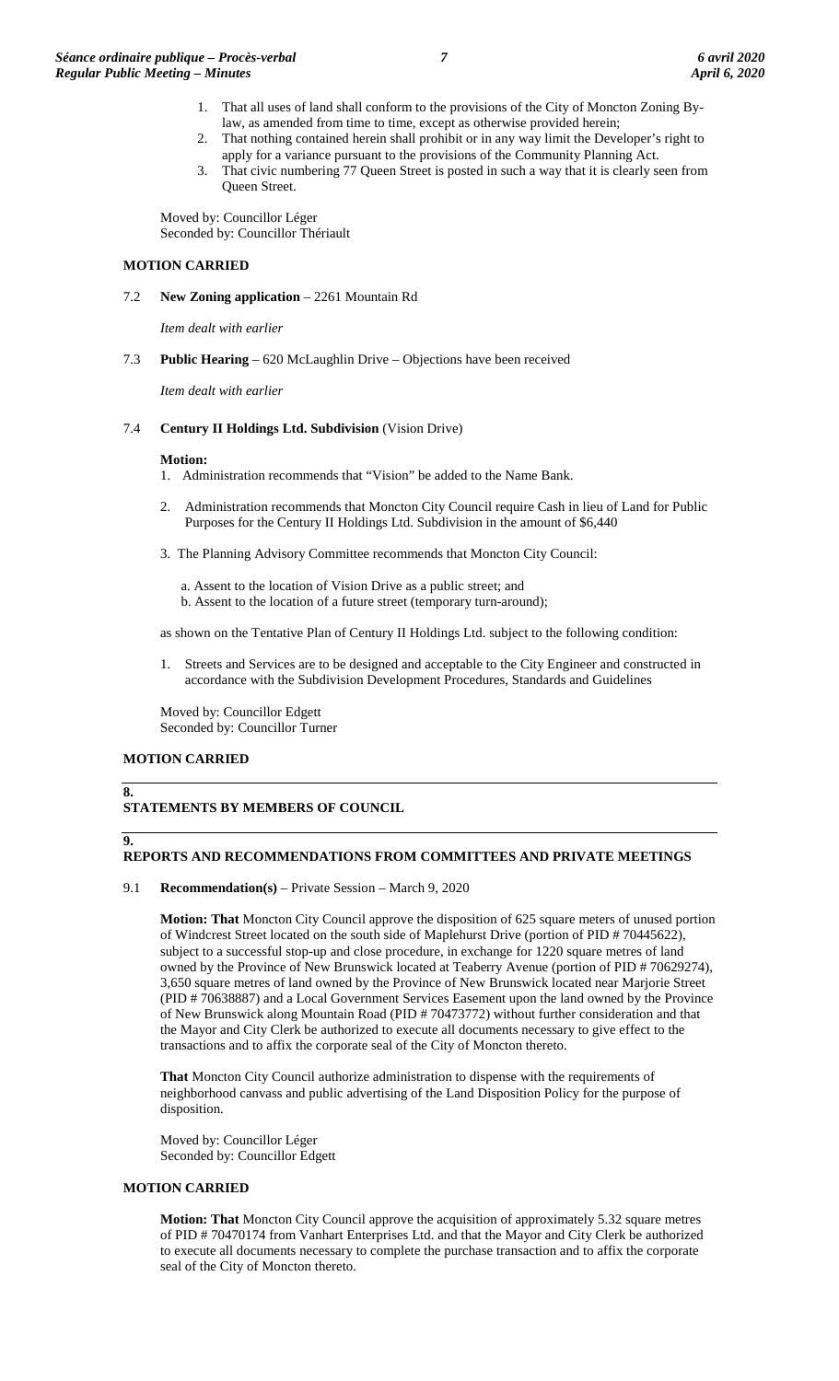- 1. That all uses of land shall conform to the provisions of the City of Moncton Zoning Bylaw, as amended from time to time, except as otherwise provided herein;
- 2. That nothing contained herein shall prohibit or in any way limit the Developer's right to apply for a variance pursuant to the provisions of the Community Planning Act.
- 3. That civic numbering 77 Queen Street is posted in such a way that it is clearly seen from Queen Street.

Moved by: Councillor Léger Seconded by: Councillor Thériault

# **MOTION CARRIED**

7.2 **New Zoning application** – 2261 Mountain Rd

*Item dealt with earlier*

7.3 **Public Hearing** – 620 McLaughlin Drive – Objections have been received

*Item dealt with earlier*

# 7.4 **Century II Holdings Ltd. Subdivision** (Vision Drive)

# **Motion:**

- 1. Administration recommends that "Vision" be added to the Name Bank.
- 2. Administration recommends that Moncton City Council require Cash in lieu of Land for Public Purposes for the Century II Holdings Ltd. Subdivision in the amount of \$6,440
- 3. The Planning Advisory Committee recommends that Moncton City Council:
	- a. Assent to the location of Vision Drive as a public street; and
	- b. Assent to the location of a future street (temporary turn-around);

as shown on the Tentative Plan of Century II Holdings Ltd. subject to the following condition:

1. Streets and Services are to be designed and acceptable to the City Engineer and constructed in accordance with the Subdivision Development Procedures, Standards and Guidelines

Moved by: Councillor Edgett Seconded by: Councillor Turner

# **MOTION CARRIED**

### **8. STATEMENTS BY MEMBERS OF COUNCIL**

# **9.**

# **REPORTS AND RECOMMENDATIONS FROM COMMITTEES AND PRIVATE MEETINGS**

# 9.1 **Recommendation(s)** – Private Session – March 9, 2020

**Motion: That** Moncton City Council approve the disposition of 625 square meters of unused portion of Windcrest Street located on the south side of Maplehurst Drive (portion of PID # 70445622), subject to a successful stop-up and close procedure, in exchange for 1220 square metres of land owned by the Province of New Brunswick located at Teaberry Avenue (portion of PID # 70629274), 3,650 square metres of land owned by the Province of New Brunswick located near Marjorie Street (PID # 70638887) and a Local Government Services Easement upon the land owned by the Province of New Brunswick along Mountain Road (PID # 70473772) without further consideration and that the Mayor and City Clerk be authorized to execute all documents necessary to give effect to the transactions and to affix the corporate seal of the City of Moncton thereto.

**That** Moncton City Council authorize administration to dispense with the requirements of neighborhood canvass and public advertising of the Land Disposition Policy for the purpose of disposition.

Moved by: Councillor Léger Seconded by: Councillor Edgett

# **MOTION CARRIED**

**Motion: That** Moncton City Council approve the acquisition of approximately 5.32 square metres of PID # 70470174 from Vanhart Enterprises Ltd. and that the Mayor and City Clerk be authorized to execute all documents necessary to complete the purchase transaction and to affix the corporate seal of the City of Moncton thereto.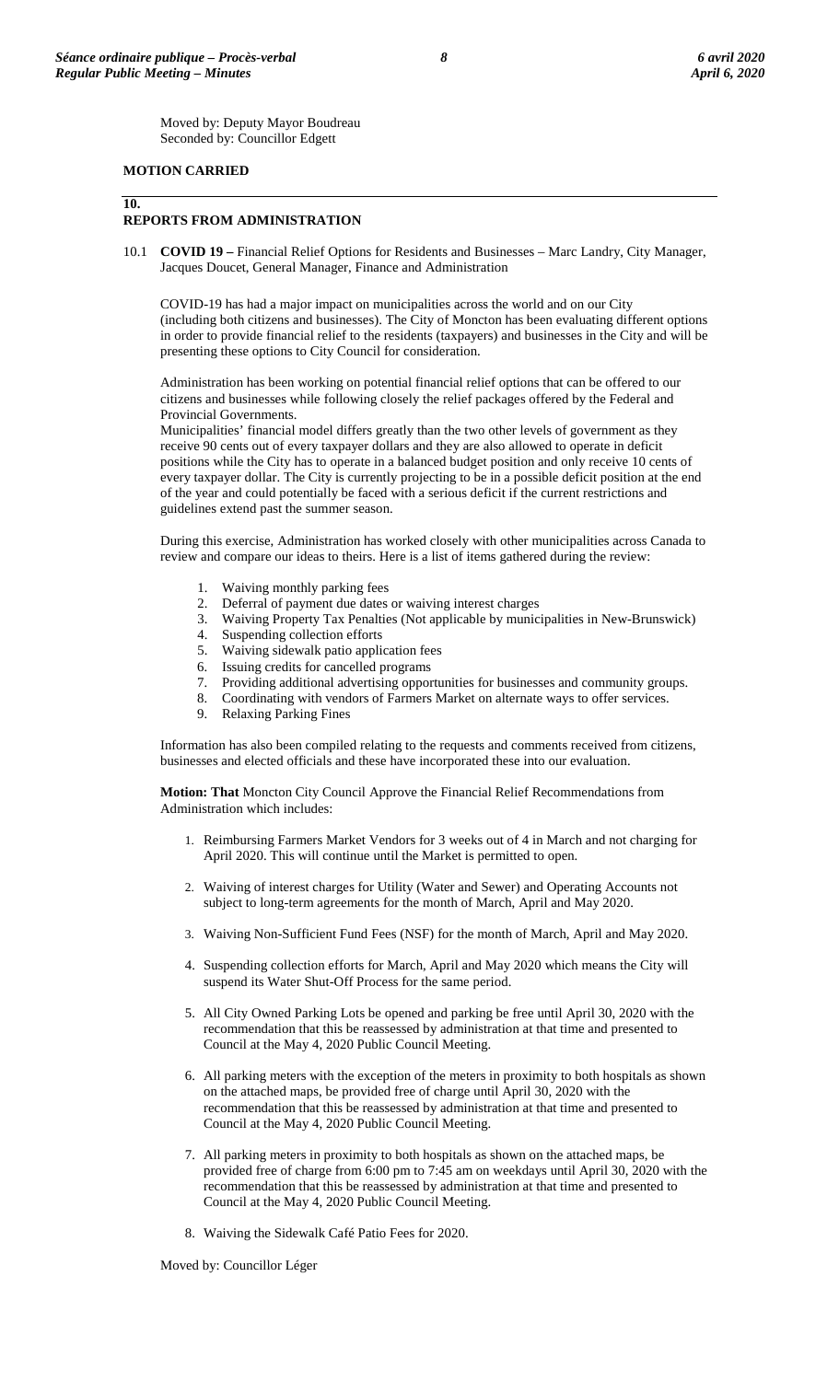Moved by: Deputy Mayor Boudreau Seconded by: Councillor Edgett

# **MOTION CARRIED**

# **10.**

# **REPORTS FROM ADMINISTRATION**

10.1 **COVID 19 –** Financial Relief Options for Residents and Businesses – Marc Landry, City Manager, Jacques Doucet, General Manager, Finance and Administration

COVID-19 has had a major impact on municipalities across the world and on our City (including both citizens and businesses). The City of Moncton has been evaluating different options in order to provide financial relief to the residents (taxpayers) and businesses in the City and will be presenting these options to City Council for consideration.

Administration has been working on potential financial relief options that can be offered to our citizens and businesses while following closely the relief packages offered by the Federal and Provincial Governments.

Municipalities' financial model differs greatly than the two other levels of government as they receive 90 cents out of every taxpayer dollars and they are also allowed to operate in deficit positions while the City has to operate in a balanced budget position and only receive 10 cents of every taxpayer dollar. The City is currently projecting to be in a possible deficit position at the end of the year and could potentially be faced with a serious deficit if the current restrictions and guidelines extend past the summer season.

During this exercise, Administration has worked closely with other municipalities across Canada to review and compare our ideas to theirs. Here is a list of items gathered during the review:

- Waiving monthly parking fees
- 2. Deferral of payment due dates or waiving interest charges
- 3. Waiving Property Tax Penalties (Not applicable by municipalities in New-Brunswick)<br>
4. Suspending collection efforts<br>
5. Waiving sidewalk patio application fees
- Suspending collection efforts
- 5. Waiving sidewalk patio application fees
- 6. Issuing credits for cancelled programs
- 7. Providing additional advertising opportunities for businesses and community groups.
- 8. Coordinating with vendors of Farmers Market on alternate ways to offer services.
- 9. Relaxing Parking Fines

Information has also been compiled relating to the requests and comments received from citizens, businesses and elected officials and these have incorporated these into our evaluation.

**Motion: That** Moncton City Council Approve the Financial Relief Recommendations from Administration which includes:

- 1. Reimbursing Farmers Market Vendors for 3 weeks out of 4 in March and not charging for April 2020. This will continue until the Market is permitted to open.
- 2. Waiving of interest charges for Utility (Water and Sewer) and Operating Accounts not subject to long-term agreements for the month of March, April and May 2020.
- 3. Waiving Non-Sufficient Fund Fees (NSF) for the month of March, April and May 2020.
- 4. Suspending collection efforts for March, April and May 2020 which means the City will suspend its Water Shut-Off Process for the same period.
- 5. All City Owned Parking Lots be opened and parking be free until April 30, 2020 with the recommendation that this be reassessed by administration at that time and presented to Council at the May 4, 2020 Public Council Meeting.
- 6. All parking meters with the exception of the meters in proximity to both hospitals as shown on the attached maps, be provided free of charge until April 30, 2020 with the recommendation that this be reassessed by administration at that time and presented to Council at the May 4, 2020 Public Council Meeting.
- 7. All parking meters in proximity to both hospitals as shown on the attached maps, be provided free of charge from 6:00 pm to 7:45 am on weekdays until April 30, 2020 with the recommendation that this be reassessed by administration at that time and presented to Council at the May 4, 2020 Public Council Meeting.
- 8. Waiving the Sidewalk Café Patio Fees for 2020.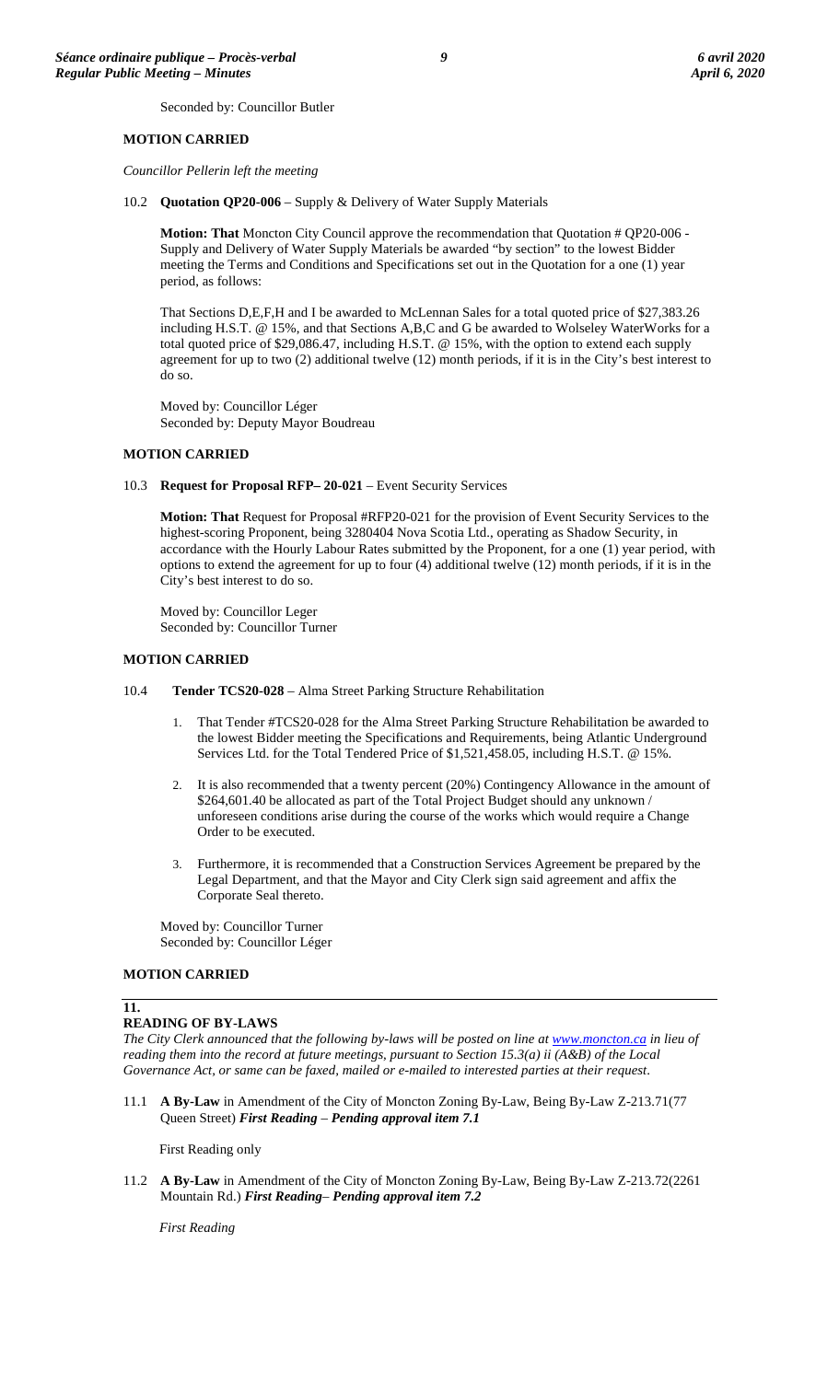Seconded by: Councillor Butler

# **MOTION CARRIED**

*Councillor Pellerin left the meeting*

10.2 **Quotation QP20-006** – Supply & Delivery of Water Supply Materials

**Motion: That** Moncton City Council approve the recommendation that Quotation # QP20-006 - Supply and Delivery of Water Supply Materials be awarded "by section" to the lowest Bidder meeting the Terms and Conditions and Specifications set out in the Quotation for a one (1) year period, as follows:

That Sections D,E,F,H and I be awarded to McLennan Sales for a total quoted price of \$27,383.26 including H.S.T. @ 15%, and that Sections A,B,C and G be awarded to Wolseley WaterWorks for a total quoted price of \$29,086.47, including H.S.T. @ 15%, with the option to extend each supply agreement for up to two (2) additional twelve (12) month periods, if it is in the City's best interest to do so.

Moved by: Councillor Léger Seconded by: Deputy Mayor Boudreau

#### **MOTION CARRIED**

10.3 **Request for Proposal RFP– 20-021** – Event Security Services

**Motion: That** Request for Proposal #RFP20-021 for the provision of Event Security Services to the highest-scoring Proponent, being 3280404 Nova Scotia Ltd., operating as Shadow Security, in accordance with the Hourly Labour Rates submitted by the Proponent, for a one (1) year period, with options to extend the agreement for up to four (4) additional twelve (12) month periods, if it is in the City's best interest to do so.

Moved by: Councillor Leger Seconded by: Councillor Turner

#### **MOTION CARRIED**

- 10.4 **Tender TCS20-028** Alma Street Parking Structure Rehabilitation
	- 1. That Tender #TCS20-028 for the Alma Street Parking Structure Rehabilitation be awarded to the lowest Bidder meeting the Specifications and Requirements, being Atlantic Underground Services Ltd. for the Total Tendered Price of \$1,521,458.05, including H.S.T. @ 15%.
	- 2. It is also recommended that a twenty percent (20%) Contingency Allowance in the amount of \$264,601.40 be allocated as part of the Total Project Budget should any unknown / unforeseen conditions arise during the course of the works which would require a Change Order to be executed.
	- 3. Furthermore, it is recommended that a Construction Services Agreement be prepared by the Legal Department, and that the Mayor and City Clerk sign said agreement and affix the Corporate Seal thereto.

Moved by: Councillor Turner Seconded by: Councillor Léger

#### **MOTION CARRIED**

#### **11.**

#### **READING OF BY-LAWS**

*The City Clerk announced that the following by-laws will be posted on line at [www.moncton.ca](http://www.moncton.ca/) in lieu of reading them into the record at future meetings, pursuant to Section 15.3(a) ii (A&B) of the Local Governance Act, or same can be faxed, mailed or e-mailed to interested parties at their request*.

11.1 **A By-Law** in Amendment of the City of Moncton Zoning By-Law, Being By-Law Z-213.71(77 Queen Street) *First Reading* – *Pending approval item 7.1*

First Reading only

11.2 **A By-Law** in Amendment of the City of Moncton Zoning By-Law, Being By-Law Z-213.72(2261 Mountain Rd.) *First Reading*– *Pending approval item 7.2*

*First Reading*